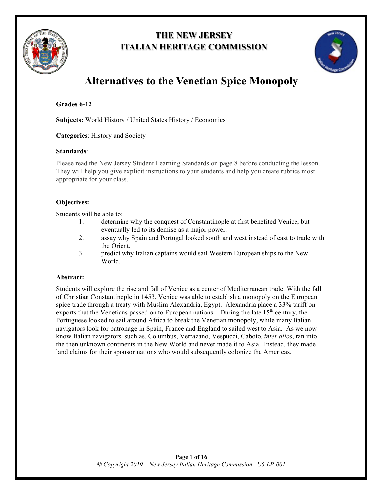

# **THE NEW JERSEY ITALIAN HERITAGE COMMISSION**



# **Alternatives to the Venetian Spice Monopoly**

# **Grades 6-12**

**Subjects:** World History / United States History / Economics

**Categories**: History and Society

# **Standards**:

Please read the New Jersey Student Learning Standards on page 8 before conducting the lesson. They will help you give explicit instructions to your students and help you create rubrics most appropriate for your class.

### **Objectives:**

Students will be able to:

- 1. determine why the conquest of Constantinople at first benefited Venice, but eventually led to its demise as a major power.
- 2. assay why Spain and Portugal looked south and west instead of east to trade with the Orient.
- 3. predict why Italian captains would sail Western European ships to the New World.

# **Abstract:**

Students will explore the rise and fall of Venice as a center of Mediterranean trade. With the fall of Christian Constantinople in 1453, Venice was able to establish a monopoly on the European spice trade through a treaty with Muslim Alexandria, Egypt. Alexandria place a 33% tariff on exports that the Venetians passed on to European nations. During the late  $15<sup>th</sup>$  century, the Portuguese looked to sail around Africa to break the Venetian monopoly, while many Italian navigators look for patronage in Spain, France and England to sailed west to Asia. As we now know Italian navigators, such as, Columbus, Verrazano, Vespucci, Caboto, *inter alios*, ran into the then unknown continents in the New World and never made it to Asia. Instead, they made land claims for their sponsor nations who would subsequently colonize the Americas.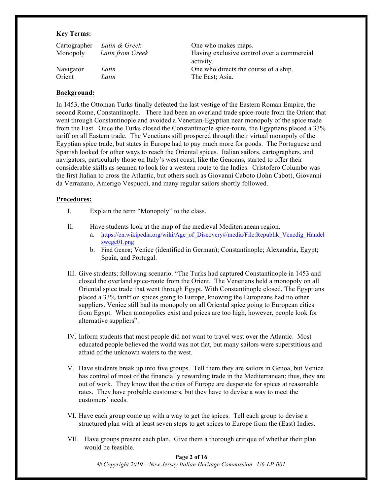#### **Key Terms:**

| Cartographer | Latin & Greek    | One who makes maps.                        |
|--------------|------------------|--------------------------------------------|
| Monopoly     | Latin from Greek | Having exclusive control over a commercial |
|              |                  | activity.                                  |
| Navigator    | Latin            | One who directs the course of a ship.      |
| Orient       | Latin            | The East; Asia.                            |

#### **Background:**

In 1453, the Ottoman Turks finally defeated the last vestige of the Eastern Roman Empire, the second Rome, Constantinople. There had been an overland trade spice-route from the Orient that went through Constantinople and avoided a Venetian-Egyptian near monopoly of the spice trade from the East. Once the Turks closed the Constantinople spice-route, the Egyptians placed a 33% tariff on all Eastern trade. The Venetians still prospered through their virtual monopoly of the Egyptian spice trade, but states in Europe had to pay much more for goods. The Portuguese and Spanish looked for other ways to reach the Oriental spices. Italian sailors, cartographers, and navigators, particularly those on Italy's west coast, like the Genoans, started to offer their considerable skills as seamen to look for a western route to the Indies. Cristofero Columbo was the first Italian to cross the Atlantic, but others such as Giovanni Caboto (John Cabot), Giovanni da Verrazano, Amerigo Vespucci, and many regular sailors shortly followed.

#### **Procedures:**

- I. Explain the term "Monopoly" to the class.
- II. Have students look at the map of the medieval Mediterranean region.
	- a. https://en.wikipedia.org/wiki/Age\_of\_Discovery#/media/File:Republik\_Venedig\_Handel swege01.png
	- b. Find Genoa; Venice (identified in German); Constantinople; Alexandria, Egypt; Spain, and Portugal.
- III. Give students; following scenario. "The Turks had captured Constantinople in 1453 and closed the overland spice-route from the Orient. The Venetians held a monopoly on all Oriental spice trade that went through Egypt. With Constantinople closed, The Egyptians placed a 33% tariff on spices going to Europe, knowing the Europeans had no other suppliers. Venice still had its monopoly on all Oriental spice going to European cities from Egypt. When monopolies exist and prices are too high, however, people look for alternative suppliers".
- IV. Inform students that most people did not want to travel west over the Atlantic. Most educated people believed the world was not flat, but many sailors were superstitious and afraid of the unknown waters to the west.
- V. Have students break up into five groups. Tell them they are sailors in Genoa, but Venice has control of most of the financially rewarding trade in the Mediterranean; thus, they are out of work. They know that the cities of Europe are desperate for spices at reasonable rates. They have probable customers, but they have to devise a way to meet the customers' needs.
- VI. Have each group come up with a way to get the spices. Tell each group to devise a structured plan with at least seven steps to get spices to Europe from the (East) Indies.
- VII. Have groups present each plan. Give them a thorough critique of whether their plan would be feasible.

#### **Page 2 of 16**

*© Copyright 2019 – New Jersey Italian Heritage Commission U6-LP-001*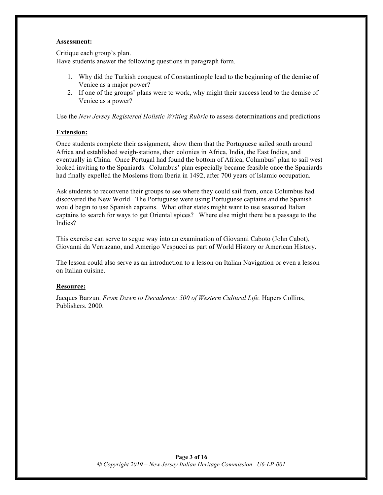#### **Assessment:**

Critique each group's plan. Have students answer the following questions in paragraph form.

- 1. Why did the Turkish conquest of Constantinople lead to the beginning of the demise of Venice as a major power?
- 2. If one of the groups' plans were to work, why might their success lead to the demise of Venice as a power?

Use the *New Jersey Registered Holistic Writing Rubric* to assess determinations and predictions

#### **Extension:**

Once students complete their assignment, show them that the Portuguese sailed south around Africa and established weigh-stations, then colonies in Africa, India, the East Indies, and eventually in China. Once Portugal had found the bottom of Africa, Columbus' plan to sail west looked inviting to the Spaniards. Columbus' plan especially became feasible once the Spaniards had finally expelled the Moslems from Iberia in 1492, after 700 years of Islamic occupation.

Ask students to reconvene their groups to see where they could sail from, once Columbus had discovered the New World. The Portuguese were using Portuguese captains and the Spanish would begin to use Spanish captains. What other states might want to use seasoned Italian captains to search for ways to get Oriental spices? Where else might there be a passage to the Indies?

This exercise can serve to segue way into an examination of Giovanni Caboto (John Cabot), Giovanni da Verrazano, and Amerigo Vespucci as part of World History or American History.

The lesson could also serve as an introduction to a lesson on Italian Navigation or even a lesson on Italian cuisine.

#### **Resource:**

Jacques Barzun. *From Dawn to Decadence: 500 of Western Cultural Life.* Hapers Collins, Publishers. 2000.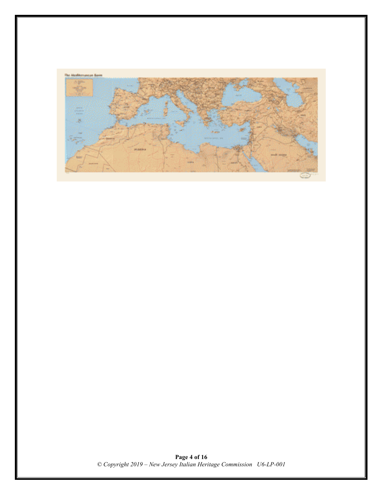

**Page 4 of 16** *© Copyright 2019 – New Jersey Italian Heritage Commission U6-LP-001*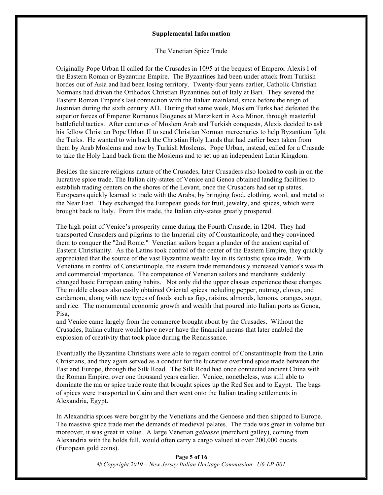#### **Supplemental Information**

The Venetian Spice Trade

Originally Pope Urban II called for the Crusades in 1095 at the bequest of Emperor Alexis I of the Eastern Roman or Byzantine Empire. The Byzantines had been under attack from Turkish hordes out of Asia and had been losing territory. Twenty-four years earlier, Catholic Christian Normans had driven the Orthodox Christian Byzantines out of Italy at Bari. They severed the Eastern Roman Empire's last connection with the Italian mainland, since before the reign of Justinian during the sixth century AD. During that same week, Moslem Turks had defeated the superior forces of Emperor Romanus Diogenes at Manzikert in Asia Minor, through masterful battlefield tactics. After centuries of Moslem Arab and Turkish conquests, Alexis decided to ask his fellow Christian Pope Urban II to send Christian Norman mercenaries to help Byzantium fight the Turks. He wanted to win back the Christian Holy Lands that had earlier been taken from them by Arab Moslems and now by Turkish Moslems. Pope Urban, instead, called for a Crusade to take the Holy Land back from the Moslems and to set up an independent Latin Kingdom.

Besides the sincere religious nature of the Crusades, later Crusaders also looked to cash in on the lucrative spice trade. The Italian city-states of Venice and Genoa obtained landing facilities to establish trading centers on the shores of the Levant, once the Crusaders had set up states. Europeans quickly learned to trade with the Arabs, by bringing food, clothing, wool, and metal to the Near East. They exchanged the European goods for fruit, jewelry, and spices, which were brought back to Italy. From this trade, the Italian city-states greatly prospered.

The high point of Venice's prosperity came during the Fourth Crusade, in 1204. They had transported Crusaders and pilgrims to the Imperial city of Constantinople, and they convinced them to conquer the "2nd Rome." Venetian sailors began a plunder of the ancient capital of Eastern Christianity. As the Latins took control of the center of the Eastern Empire, they quickly appreciated that the source of the vast Byzantine wealth lay in its fantastic spice trade. With Venetians in control of Constantinople, the eastern trade tremendously increased Venice's wealth and commercial importance. The competence of Venetian sailors and merchants suddenly changed basic European eating habits. Not only did the upper classes experience these changes. The middle classes also easily obtained Oriental spices including pepper, nutmeg, cloves, and cardamom, along with new types of foods such as figs, raisins, almonds, lemons, oranges, sugar, and rice. The monumental economic growth and wealth that poured into Italian ports as Genoa, Pisa,

and Venice came largely from the commerce brought about by the Crusades. Without the Crusades, Italian culture would have never have the financial means that later enabled the explosion of creativity that took place during the Renaissance.

Eventually the Byzantine Christians were able to regain control of Constantinople from the Latin Christians, and they again served as a conduit for the lucrative overland spice trade between the East and Europe, through the Silk Road. The Silk Road had once connected ancient China with the Roman Empire, over one thousand years earlier. Venice, nonetheless, was still able to dominate the major spice trade route that brought spices up the Red Sea and to Egypt. The bags of spices were transported to Cairo and then went onto the Italian trading settlements in Alexandria, Egypt.

In Alexandria spices were bought by the Venetians and the Genoese and then shipped to Europe. The massive spice trade met the demands of medieval palates. The trade was great in volume but moreover, it was great in value. A large Venetian *galeasse* (merchant galley), coming from Alexandria with the holds full, would often carry a cargo valued at over 200,000 ducats (European gold coins).

> **Page 5 of 16** *© Copyright 2019 – New Jersey Italian Heritage Commission U6-LP-001*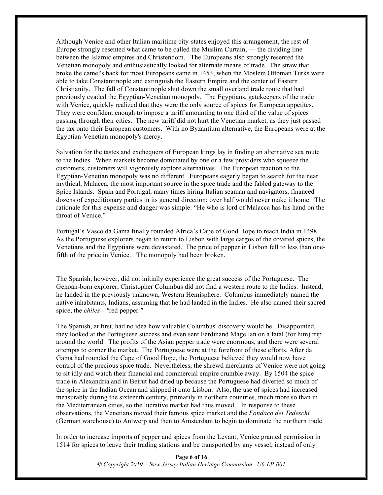Although Venice and other Italian maritime city-states enjoyed this arrangement, the rest of Europe strongly resented what came to be called the Muslim Curtain, --- the dividing line between the Islamic empires and Christendom. The Europeans also strongly resented the Venetian monopoly and enthusiastically looked for alternate means of trade. The straw that broke the camel's back for most Europeans came in 1453, when the Moslem Ottoman Turks were able to take Constantinople and extinguish the Eastern Empire and the center of Eastern Christianity. The fall of Constantinople shut down the small overland trade route that had previously evaded the Egyptian-Venetian monopoly. The Egyptians, gatekeepers of the trade with Venice, quickly realized that they were the only source of spices for European appetites. They were confident enough to impose a tariff amounting to one third of the value of spices passing through their cities. The new tariff did not hurt the Venetian market, as they just passed the tax onto their European customers. With no Byzantium alternative, the Europeans were at the Egyptian-Venetian monopoly's mercy.

Salvation for the tastes and exchequers of European kings lay in finding an alternative sea route to the Indies. When markets become dominated by one or a few providers who squeeze the customers, customers will vigorously explore alternatives. The European reaction to the Egyptian-Venetian monopoly was no different. Europeans eagerly began to search for the near mythical, Malacca, the most important source in the spice trade and the fabled gateway to the Spice Islands. Spain and Portugal, many times hiring Italian seaman and navigators, financed dozens of expeditionary parties in its general direction; over half would never make it home. The rationale for this expense and danger was simple: "He who is lord of Malacca has his hand on the throat of Venice."

Portugal's Vasco da Gama finally rounded Africa's Cape of Good Hope to reach India in 1498. As the Portuguese explorers began to return to Lisbon with large cargos of the coveted spices, the Venetians and the Egyptians were devastated. The price of pepper in Lisbon fell to less than onefifth of the price in Venice. The monopoly had been broken.

The Spanish, however, did not initially experience the great success of the Portuguese. The Genoan-born explorer, Christopher Columbus did not find a western route to the Indies. Instead, he landed in the previously unknown, Western Hemisphere. Columbus immediately named the native inhabitants, Indians, assuming that he had landed in the Indies. He also named their sacred spice, the *chiles-- "*red pepper*."*

The Spanish, at first, had no idea how valuable Columbus' discovery would be. Disappointed, they looked at the Portuguese success and even sent Ferdinand Magellan on a fatal (for him) trip around the world. The profits of the Asian pepper trade were enormous, and there were several attempts to corner the market. The Portuguese were at the forefront of these efforts. After da Gama had rounded the Cape of Good Hope, the Portuguese believed they would now have control of the precious spice trade. Nevertheless, the shrewd merchants of Venice were not going to sit idly and watch their financial and commercial empire crumble away. By 1504 the spice trade in Alexandria and in Beirut had dried up because the Portuguese had diverted so much of the spice in the Indian Ocean and shipped it onto Lisbon. Also, the use of spices had increased measurably during the sixteenth century, primarily in northern countries, much more so than in the Mediterranean cities, so the lucrative market had thus moved. In response to these observations, the Venetians moved their famous spice market and the *Fondaco dei Tedeschi*  (German warehouse) to Antwerp and then to Amsterdam to begin to dominate the northern trade.

In order to increase imports of pepper and spices from the Levant, Venice granted permission in 1514 for spices to leave their trading stations and be transported by any vessel, instead of only

> **Page 6 of 16** *© Copyright 2019 – New Jersey Italian Heritage Commission U6-LP-001*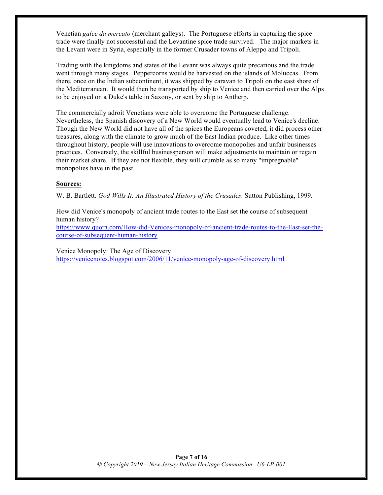Venetian *galee da mercato* (merchant galleys). The Portuguese efforts in capturing the spice trade were finally not successful and the Levantine spice trade survived. The major markets in the Levant were in Syria, especially in the former Crusader towns of Aleppo and Tripoli.

Trading with the kingdoms and states of the Levant was always quite precarious and the trade went through many stages. Peppercorns would be harvested on the islands of Moluccas. From there, once on the Indian subcontinent, it was shipped by caravan to Tripoli on the east shore of the Mediterranean. It would then be transported by ship to Venice and then carried over the Alps to be enjoyed on a Duke's table in Saxony, or sent by ship to Antherp.

The commercially adroit Venetians were able to overcome the Portuguese challenge. Nevertheless, the Spanish discovery of a New World would eventually lead to Venice's decline. Though the New World did not have all of the spices the Europeans coveted, it did process other treasures, along with the climate to grow much of the East Indian produce. Like other times throughout history, people will use innovations to overcome monopolies and unfair businesses practices. Conversely, the skillful businessperson will make adjustments to maintain or regain their market share. If they are not flexible, they will crumble as so many "impregnable" monopolies have in the past.

#### **Sources:**

W. B. Bartlett. *God Wills It: An Illustrated History of the Crusades*. Sutton Publishing, 1999.

How did Venice's monopoly of ancient trade routes to the East set the course of subsequent human history?

https://www.quora.com/How-did-Venices-monopoly-of-ancient-trade-routes-to-the-East-set-thecourse-of-subsequent-human-history

Venice Monopoly: The Age of Discovery

https://venicenotes.blogspot.com/2006/11/venice-monopoly-age-of-discovery.html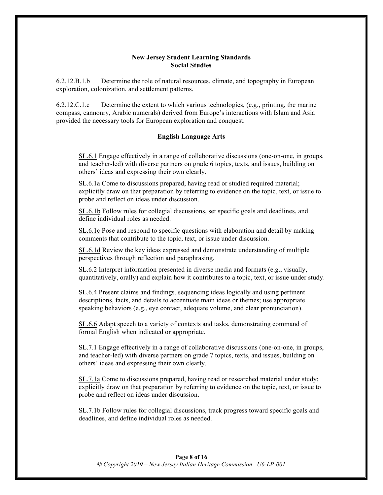#### **New Jersey Student Learning Standards Social Studies**

6.2.12.B.1.b Determine the role of natural resources, climate, and topography in European exploration, colonization, and settlement patterns.

6.2.12.C.1.e Determine the extent to which various technologies, (e.g., printing, the marine compass, cannonry, Arabic numerals) derived from Europe's interactions with Islam and Asia provided the necessary tools for European exploration and conquest.

#### **English Language Arts**

SL.6.1 Engage effectively in a range of collaborative discussions (one-on-one, in groups, and teacher-led) with diverse partners on grade 6 topics, texts, and issues, building on others' ideas and expressing their own clearly.

SL.6.1a Come to discussions prepared, having read or studied required material; explicitly draw on that preparation by referring to evidence on the topic, text, or issue to probe and reflect on ideas under discussion.

SL.6.1b Follow rules for collegial discussions, set specific goals and deadlines, and define individual roles as needed.

SL.6.1c Pose and respond to specific questions with elaboration and detail by making comments that contribute to the topic, text, or issue under discussion.

SL.6.1d Review the key ideas expressed and demonstrate understanding of multiple perspectives through reflection and paraphrasing.

SL.6.2 Interpret information presented in diverse media and formats (e.g., visually, quantitatively, orally) and explain how it contributes to a topic, text, or issue under study.

SL.6.4 Present claims and findings, sequencing ideas logically and using pertinent descriptions, facts, and details to accentuate main ideas or themes; use appropriate speaking behaviors (e.g., eye contact, adequate volume, and clear pronunciation).

SL.6.6 Adapt speech to a variety of contexts and tasks, demonstrating command of formal English when indicated or appropriate.

SL.7.1 Engage effectively in a range of collaborative discussions (one-on-one, in groups, and teacher-led) with diverse partners on grade 7 topics, texts, and issues, building on others' ideas and expressing their own clearly.

SL.7.1a Come to discussions prepared, having read or researched material under study; explicitly draw on that preparation by referring to evidence on the topic, text, or issue to probe and reflect on ideas under discussion.

SL.7.1b Follow rules for collegial discussions, track progress toward specific goals and deadlines, and define individual roles as needed.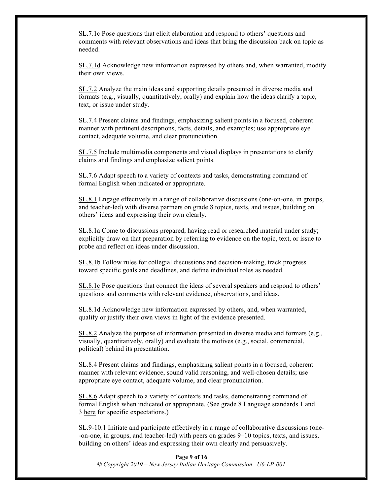SL.7.1c Pose questions that elicit elaboration and respond to others' questions and comments with relevant observations and ideas that bring the discussion back on topic as needed.

SL.7.1d Acknowledge new information expressed by others and, when warranted, modify their own views.

SL.7.2 Analyze the main ideas and supporting details presented in diverse media and formats (e.g., visually, quantitatively, orally) and explain how the ideas clarify a topic, text, or issue under study.

SL.7.4 Present claims and findings, emphasizing salient points in a focused, coherent manner with pertinent descriptions, facts, details, and examples; use appropriate eye contact, adequate volume, and clear pronunciation.

SL.7.5 Include multimedia components and visual displays in presentations to clarify claims and findings and emphasize salient points.

SL.7.6 Adapt speech to a variety of contexts and tasks, demonstrating command of formal English when indicated or appropriate.

SL.8.1 Engage effectively in a range of collaborative discussions (one-on-one, in groups, and teacher-led) with diverse partners on grade 8 topics, texts, and issues, building on others' ideas and expressing their own clearly.

SL.8.1a Come to discussions prepared, having read or researched material under study; explicitly draw on that preparation by referring to evidence on the topic, text, or issue to probe and reflect on ideas under discussion.

SL.8.1b Follow rules for collegial discussions and decision-making, track progress toward specific goals and deadlines, and define individual roles as needed.

SL.8.1c Pose questions that connect the ideas of several speakers and respond to others' questions and comments with relevant evidence, observations, and ideas.

SL.8.1d Acknowledge new information expressed by others, and, when warranted, qualify or justify their own views in light of the evidence presented.

SL.8.2 Analyze the purpose of information presented in diverse media and formats (e.g., visually, quantitatively, orally) and evaluate the motives (e.g., social, commercial, political) behind its presentation.

SL.8.4 Present claims and findings, emphasizing salient points in a focused, coherent manner with relevant evidence, sound valid reasoning, and well-chosen details; use appropriate eye contact, adequate volume, and clear pronunciation.

SL.8.6 Adapt speech to a variety of contexts and tasks, demonstrating command of formal English when indicated or appropriate. (See grade 8 Language standards 1 and 3 here for specific expectations.)

SL.9-10.1 Initiate and participate effectively in a range of collaborative discussions (one- -on-one, in groups, and teacher-led) with peers on grades 9–10 topics, texts, and issues, building on others' ideas and expressing their own clearly and persuasively.

**Page 9 of 16** *© Copyright 2019 – New Jersey Italian Heritage Commission U6-LP-001*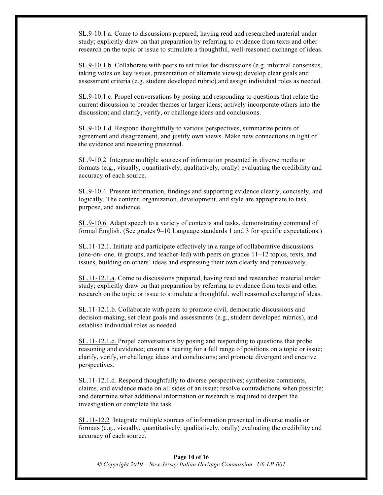SL.9-10.1.a. Come to discussions prepared, having read and researched material under study; explicitly draw on that preparation by referring to evidence from texts and other research on the topic or issue to stimulate a thoughtful, well-reasoned exchange of ideas.

SL.9-10.1.b. Collaborate with peers to set rules for discussions (e.g. informal consensus, taking votes on key issues, presentation of alternate views); develop clear goals and assessment criteria (e.g. student developed rubric) and assign individual roles as needed.

SL.9-10.1.c. Propel conversations by posing and responding to questions that relate the current discussion to broader themes or larger ideas; actively incorporate others into the discussion; and clarify, verify, or challenge ideas and conclusions.

SL.9-10.1.d. Respond thoughtfully to various perspectives, summarize points of agreement and disagreement, and justify own views. Make new connections in light of the evidence and reasoning presented.

SL.9-10.2. Integrate multiple sources of information presented in diverse media or formats (e.g., visually, quantitatively, qualitatively, orally) evaluating the credibility and accuracy of each source.

SL.9-10.4. Present information, findings and supporting evidence clearly, concisely, and logically. The content, organization, development, and style are appropriate to task, purpose, and audience.

SL.9-10.6. Adapt speech to a variety of contexts and tasks, demonstrating command of formal English. (See grades 9–10 Language standards 1 and 3 for specific expectations.)

SL.11-12.1. Initiate and participate effectively in a range of collaborative discussions (one-on- one, in groups, and teacher-led) with peers on grades 11–12 topics, texts, and issues, building on others' ideas and expressing their own clearly and persuasively.

SL.11-12.1.a. Come to discussions prepared, having read and researched material under study; explicitly draw on that preparation by referring to evidence from texts and other research on the topic or issue to stimulate a thoughtful, well reasoned exchange of ideas.

SL.11-12.1.b. Collaborate with peers to promote civil, democratic discussions and decision-making, set clear goals and assessments (e.g., student developed rubrics), and establish individual roles as needed.

SL.11-12.1.c. Propel conversations by posing and responding to questions that probe reasoning and evidence; ensure a hearing for a full range of positions on a topic or issue; clarify, verify, or challenge ideas and conclusions; and promote divergent and creative perspectives.

SL.11-12.1.d. Respond thoughtfully to diverse perspectives; synthesize comments, claims, and evidence made on all sides of an issue; resolve contradictions when possible; and determine what additional information or research is required to deepen the investigation or complete the task

SL.11-12.2 Integrate multiple sources of information presented in diverse media or formats (e.g., visually, quantitatively, qualitatively, orally) evaluating the credibility and accuracy of each source.

#### **Page 10 of 16** *© Copyright 2019 – New Jersey Italian Heritage Commission U6-LP-001*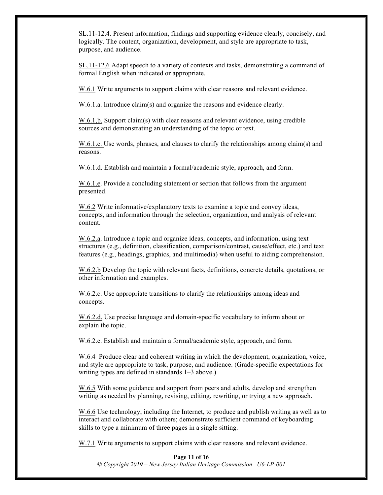SL.11-12.4. Present information, findings and supporting evidence clearly, concisely, and logically. The content, organization, development, and style are appropriate to task, purpose, and audience.

SL.11-12.6 Adapt speech to a variety of contexts and tasks, demonstrating a command of formal English when indicated or appropriate.

W.6.1 Write arguments to support claims with clear reasons and relevant evidence.

W.6.1.a. Introduce claim(s) and organize the reasons and evidence clearly.

W.6.1, b. Support claim(s) with clear reasons and relevant evidence, using credible sources and demonstrating an understanding of the topic or text.

W.6.1.c. Use words, phrases, and clauses to clarify the relationships among claim(s) and reasons.

W.6.1.d. Establish and maintain a formal/academic style, approach, and form.

W.6.1.e. Provide a concluding statement or section that follows from the argument presented.

W.6.2 Write informative/explanatory texts to examine a topic and convey ideas, concepts, and information through the selection, organization, and analysis of relevant content.

W.6.2.a. Introduce a topic and organize ideas, concepts, and information, using text structures (e.g., definition, classification, comparison/contrast, cause/effect, etc.) and text features (e.g., headings, graphics, and multimedia) when useful to aiding comprehension.

W.6.2.b Develop the topic with relevant facts, definitions, concrete details, quotations, or other information and examples.

W.6.2.c. Use appropriate transitions to clarify the relationships among ideas and concepts.

W.6.2.d. Use precise language and domain-specific vocabulary to inform about or explain the topic.

W.6.2.e. Establish and maintain a formal/academic style, approach, and form.

W.6.4 Produce clear and coherent writing in which the development, organization, voice, and style are appropriate to task, purpose, and audience. (Grade-specific expectations for writing types are defined in standards 1–3 above.)

W.6.5 With some guidance and support from peers and adults, develop and strengthen writing as needed by planning, revising, editing, rewriting, or trying a new approach.

W.6.6 Use technology, including the Internet, to produce and publish writing as well as to interact and collaborate with others; demonstrate sufficient command of keyboarding skills to type a minimum of three pages in a single sitting.

W.7.1 Write arguments to support claims with clear reasons and relevant evidence.

#### **Page 11 of 16** *© Copyright 2019 – New Jersey Italian Heritage Commission U6-LP-001*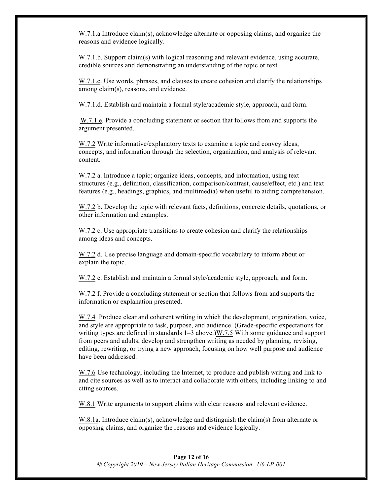W.7.1.a Introduce claim(s), acknowledge alternate or opposing claims, and organize the reasons and evidence logically.

W.7.1.b. Support claim(s) with logical reasoning and relevant evidence, using accurate, credible sources and demonstrating an understanding of the topic or text.

W.7.1.c. Use words, phrases, and clauses to create cohesion and clarify the relationships among claim(s), reasons, and evidence.

W.7.1.d. Establish and maintain a formal style/academic style, approach, and form.

W.7.1.e. Provide a concluding statement or section that follows from and supports the argument presented.

W.7.2 Write informative/explanatory texts to examine a topic and convey ideas, concepts, and information through the selection, organization, and analysis of relevant content.

W.7.2 a. Introduce a topic; organize ideas, concepts, and information, using text structures (e.g., definition, classification, comparison/contrast, cause/effect, etc.) and text features (e.g., headings, graphics, and multimedia) when useful to aiding comprehension.

W.7.2 b. Develop the topic with relevant facts, definitions, concrete details, quotations, or other information and examples.

W.7.2 c. Use appropriate transitions to create cohesion and clarify the relationships among ideas and concepts.

W.7.2 d. Use precise language and domain-specific vocabulary to inform about or explain the topic.

W.7.2 e. Establish and maintain a formal style/academic style, approach, and form.

W.7.2 f. Provide a concluding statement or section that follows from and supports the information or explanation presented.

W.7.4 Produce clear and coherent writing in which the development, organization, voice, and style are appropriate to task, purpose, and audience. (Grade-specific expectations for writing types are defined in standards 1–3 above.)W.7.5 With some guidance and support from peers and adults, develop and strengthen writing as needed by planning, revising, editing, rewriting, or trying a new approach, focusing on how well purpose and audience have been addressed.

W.7.6 Use technology, including the Internet, to produce and publish writing and link to and cite sources as well as to interact and collaborate with others, including linking to and citing sources.

W.8.1 Write arguments to support claims with clear reasons and relevant evidence.

W.8.1a. Introduce claim(s), acknowledge and distinguish the claim(s) from alternate or opposing claims, and organize the reasons and evidence logically.

#### **Page 12 of 16** *© Copyright 2019 – New Jersey Italian Heritage Commission U6-LP-001*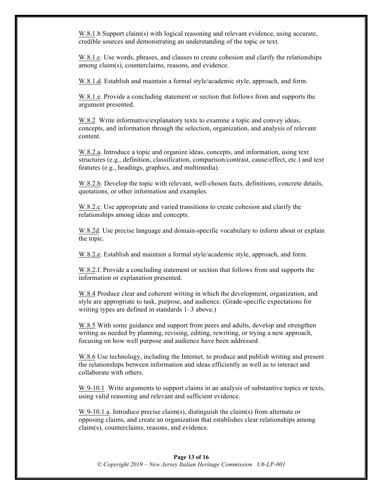W.8.1.b Support claim(s) with logical reasoning and relevant evidence, using accurate, credible sources and demonstrating an understanding of the topic or text.

W.8.1.c. Use words, phrases, and clauses to create cohesion and clarify the relationships among claim(s), counterclaims, reasons, and evidence.

W.8.1.d. Establish and maintain a formal style/academic style, approach, and form.

W.8.1.e. Provide a concluding statement or section that follows from and supports the argument presented.

W.8.2 Write informative/explanatory texts to examine a topic and convey ideas, concepts, and information through the selection, organization, and analysis of relevant content.

W.8.2.a. Introduce a topic and organize ideas, concepts, and information, using text structures (e.g., definition, classification, comparison/contrast, cause/effect, etc.) and text features (e.g., headings, graphics, and multimedia).

W.8.2.b. Develop the topic with relevant, well-chosen facts, definitions, concrete details, quotations, or other information and examples.

W.8.2.c. Use appropriate and varied transitions to create cohesion and clarify the relationships among ideas and concepts.

W.8.2d. Use precise language and domain-specific vocabulary to inform about or explain the topic.

W.8.2.e. Establish and maintain a formal style/academic style, approach, and form.

W.8.2.f. Provide a concluding statement or section that follows from and supports the information or explanation presented.

W.8.4 Produce clear and coherent writing in which the development, organization, and style are appropriate to task, purpose, and audience. (Grade-specific expectations for writing types are defined in standards 1–3 above.)

W.8.5 With some guidance and support from peers and adults, develop and strengthen writing as needed by planning, revising, editing, rewriting, or trying a new approach, focusing on how well purpose and audience have been addressed.

W.8.6 Use technology, including the Internet, to produce and publish writing and present the relationships between information and ideas efficiently as well as to interact and collaborate with others.

W.9-10.1 Write arguments to support claims in an analysis of substantive topics or texts, using valid reasoning and relevant and sufficient evidence.

W.9-10.1.a. Introduce precise claim(s), distinguish the claim(s) from alternate or opposing claims, and create an organization that establishes clear relationships among claim(s), counterclaims, reasons, and evidence.

#### **Page 13 of 16** *© Copyright 2019 – New Jersey Italian Heritage Commission U6-LP-001*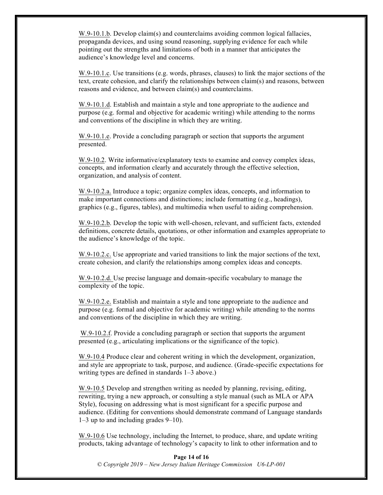W.9-10.1.b. Develop claim(s) and counterclaims avoiding common logical fallacies, propaganda devices, and using sound reasoning, supplying evidence for each while pointing out the strengths and limitations of both in a manner that anticipates the audience's knowledge level and concerns.

W.9-10.1.c. Use transitions (e.g. words, phrases, clauses) to link the major sections of the text, create cohesion, and clarify the relationships between claim(s) and reasons, between reasons and evidence, and between claim(s) and counterclaims.

W.9-10.1.d. Establish and maintain a style and tone appropriate to the audience and purpose (e.g. formal and objective for academic writing) while attending to the norms and conventions of the discipline in which they are writing.

W.9-10.1.e. Provide a concluding paragraph or section that supports the argument presented.

W.9-10.2. Write informative/explanatory texts to examine and convey complex ideas, concepts, and information clearly and accurately through the effective selection, organization, and analysis of content.

W.9-10.2.a. Introduce a topic; organize complex ideas, concepts, and information to make important connections and distinctions; include formatting (e.g., headings), graphics (e.g., figures, tables), and multimedia when useful to aiding comprehension.

W.9-10.2.b. Develop the topic with well-chosen, relevant, and sufficient facts, extended definitions, concrete details, quotations, or other information and examples appropriate to the audience's knowledge of the topic.

W.9-10.2.c. Use appropriate and varied transitions to link the major sections of the text, create cohesion, and clarify the relationships among complex ideas and concepts.

W.9-10.2.d. Use precise language and domain-specific vocabulary to manage the complexity of the topic.

W.9-10.2.e. Establish and maintain a style and tone appropriate to the audience and purpose (e.g. formal and objective for academic writing) while attending to the norms and conventions of the discipline in which they are writing.

W.9-10.2.f. Provide a concluding paragraph or section that supports the argument presented (e.g., articulating implications or the significance of the topic).

W.9-10.4 Produce clear and coherent writing in which the development, organization, and style are appropriate to task, purpose, and audience. (Grade-specific expectations for writing types are defined in standards 1–3 above.)

W.9-10.5 Develop and strengthen writing as needed by planning, revising, editing, rewriting, trying a new approach, or consulting a style manual (such as MLA or APA Style), focusing on addressing what is most significant for a specific purpose and audience. (Editing for conventions should demonstrate command of Language standards 1–3 up to and including grades 9–10).

W.9-10.6 Use technology, including the Internet, to produce, share, and update writing products, taking advantage of technology's capacity to link to other information and to

**Page 14 of 16** *© Copyright 2019 – New Jersey Italian Heritage Commission U6-LP-001*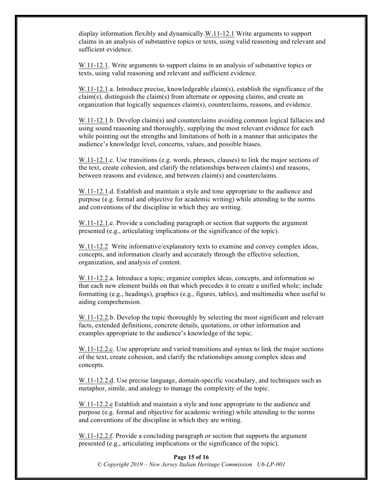display information flexibly and dynamically.W.11-12.1 Write arguments to support claims in an analysis of substantive topics or texts, using valid reasoning and relevant and sufficient evidence.

W.11-12.1. Write arguments to support claims in an analysis of substantive topics or texts, using valid reasoning and relevant and sufficient evidence.

W.11-12.1.a. Introduce precise, knowledgeable claim(s), establish the significance of the claim(s), distinguish the claim(s) from alternate or opposing claims, and create an organization that logically sequences claim(s), counterclaims, reasons, and evidence.

W.11-12.1.b. Develop claim(s) and counterclaims avoiding common logical fallacies and using sound reasoning and thoroughly, supplying the most relevant evidence for each while pointing out the strengths and limitations of both in a manner that anticipates the audience's knowledge level, concerns, values, and possible biases.

W.11-12.1.c. Use transitions (e.g. words, phrases, clauses) to link the major sections of the text, create cohesion, and clarify the relationships between claim(s) and reasons, between reasons and evidence, and between claim(s) and counterclaims.

W.11-12.1.d. Establish and maintain a style and tone appropriate to the audience and purpose (e.g. formal and objective for academic writing) while attending to the norms and conventions of the discipline in which they are writing.

W.11-12.1.e. Provide a concluding paragraph or section that supports the argument presented (e.g., articulating implications or the significance of the topic).

W.11-12.2 Write informative/explanatory texts to examine and convey complex ideas, concepts, and information clearly and accurately through the effective selection, organization, and analysis of content.

W.11-12.2.a. Introduce a topic; organize complex ideas, concepts, and information so that each new element builds on that which precedes it to create a unified whole; include formatting (e.g., headings), graphics (e.g., figures, tables), and multimedia when useful to aiding comprehension.

W.11-12.2.b. Develop the topic thoroughly by selecting the most significant and relevant facts, extended definitions, concrete details, quotations, or other information and examples appropriate to the audience's knowledge of the topic.

W.11-12.2.c. Use appropriate and varied transitions and syntax to link the major sections of the text, create cohesion, and clarify the relationships among complex ideas and concepts.

W.11-12.2.d. Use precise language, domain-specific vocabulary, and techniques such as metaphor, simile, and analogy to manage the complexity of the topic.

W.11-12.2.e Establish and maintain a style and tone appropriate to the audience and purpose (e.g. formal and objective for academic writing) while attending to the norms and conventions of the discipline in which they are writing.

W.11-12.2.f. Provide a concluding paragraph or section that supports the argument presented (e.g., articulating implications or the significance of the topic).

#### **Page 15 of 16** *© Copyright 2019 – New Jersey Italian Heritage Commission U6-LP-001*